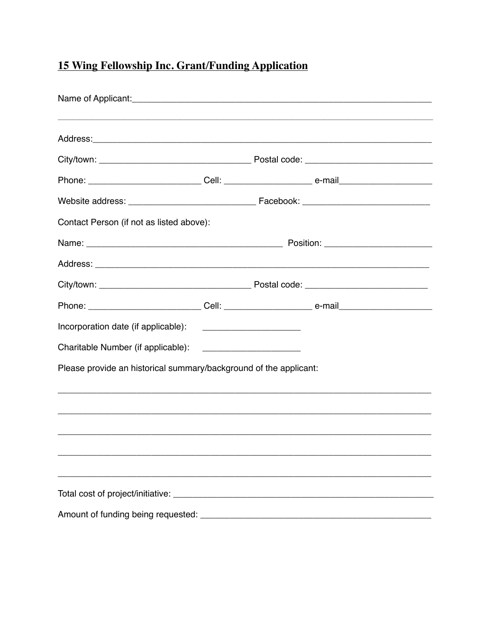## 15 Wing Fellowship Inc. Grant/Funding Application

| Contact Person (if not as listed above):                          |  |  |  |  |
|-------------------------------------------------------------------|--|--|--|--|
|                                                                   |  |  |  |  |
|                                                                   |  |  |  |  |
|                                                                   |  |  |  |  |
|                                                                   |  |  |  |  |
| Incorporation date (if applicable):                               |  |  |  |  |
| Charitable Number (if applicable):                                |  |  |  |  |
| Please provide an historical summary/background of the applicant: |  |  |  |  |
|                                                                   |  |  |  |  |
|                                                                   |  |  |  |  |
|                                                                   |  |  |  |  |
|                                                                   |  |  |  |  |
|                                                                   |  |  |  |  |
|                                                                   |  |  |  |  |
|                                                                   |  |  |  |  |